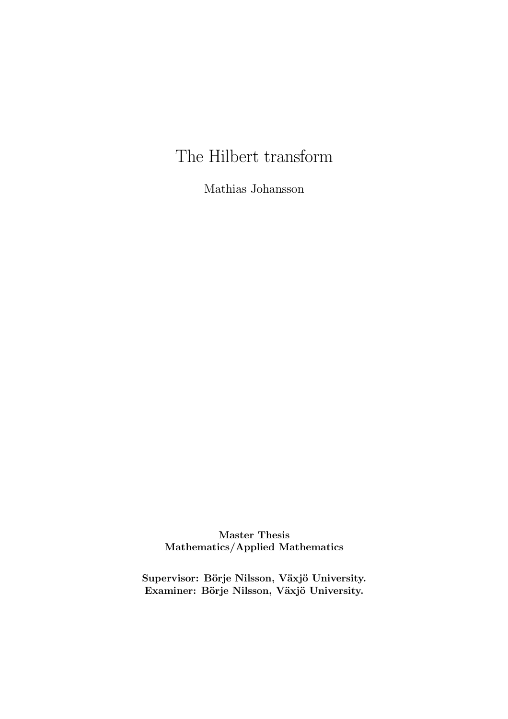# The Hilbert transform

Mathias Johansson

Master Thesis Mathematics/Applied Mathematics

Supervisor: Börje Nilsson, Växjö University. Examiner: Börje Nilsson, Växjö University.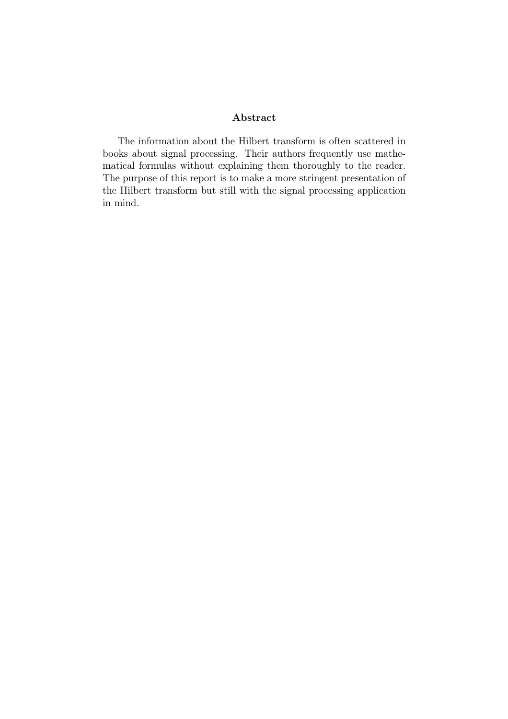## Abstract

The information about the Hilbert transform is often scattered in books about signal processing. Their authors frequently use mathematical formulas without explaining them thoroughly to the reader. The purpose of this report is to make a more stringent presentation of the Hilbert transform but still with the signal processing application in mind.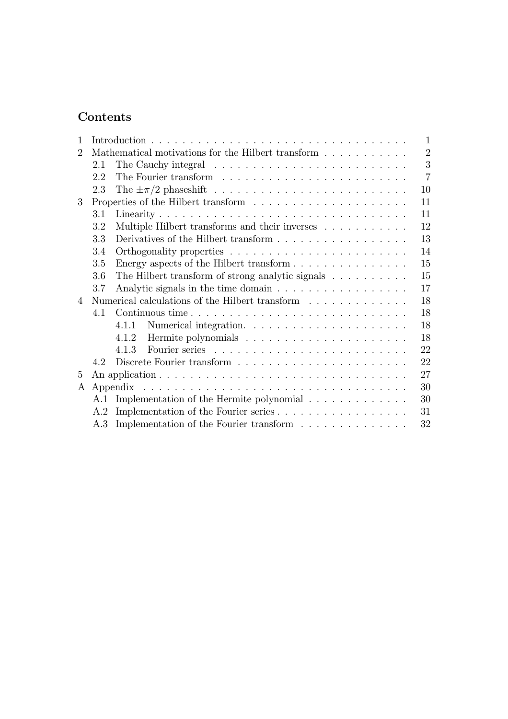## Contents

| 1                           |                                                                                      | $\mathbf{1}$   |
|-----------------------------|--------------------------------------------------------------------------------------|----------------|
| $\mathcal{D}_{\mathcal{L}}$ | Mathematical motivations for the Hilbert transform $\dots \dots \dots \dots$         | $\overline{2}$ |
|                             | The Cauchy integral $\ldots \ldots \ldots \ldots \ldots \ldots \ldots \ldots$<br>2.1 | 3              |
|                             | 2.2                                                                                  | $\overline{7}$ |
|                             | 2.3                                                                                  | 10             |
| 3                           |                                                                                      | 11             |
|                             | 3.1                                                                                  | 11             |
|                             | Multiple Hilbert transforms and their inverses $\ldots \ldots \ldots$<br>3.2         | 12             |
|                             | Derivatives of the Hilbert transform $\dots \dots \dots \dots \dots \dots$<br>3.3    | 13             |
|                             | 3.4                                                                                  | 14             |
|                             | Energy aspects of the Hilbert transform $\ldots \ldots \ldots \ldots \ldots$<br>3.5  | 15             |
|                             | 3.6<br>The Hilbert transform of strong analytic signals $\ldots \ldots \ldots$       | 15             |
|                             | 3.7                                                                                  | 17             |
| 4                           | Numerical calculations of the Hilbert transform                                      | 18             |
|                             | Continuous time<br>4.1                                                               | 18             |
|                             | 4.1.1                                                                                | 18             |
|                             | 4.1.2                                                                                | 18             |
|                             | 4.1.3                                                                                | 22             |
|                             | 4.2                                                                                  | 22             |
| 5                           |                                                                                      | 27             |
| A                           |                                                                                      | 30             |
|                             | Implementation of the Hermite polynomial $\ldots \ldots \ldots \ldots$<br>A.1        | 30             |
|                             | Implementation of the Fourier series<br>A.2                                          | 31             |
|                             | Implementation of the Fourier transform<br>A.3                                       | 32             |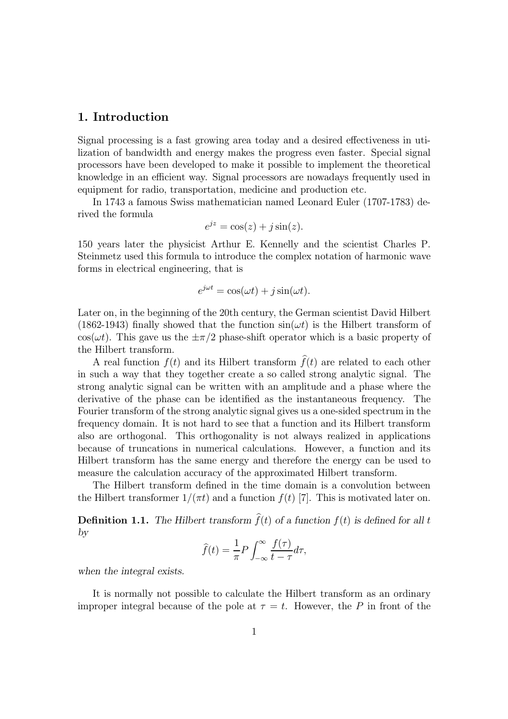## 1. Introduction

Signal processing is a fast growing area today and a desired effectiveness in utilization of bandwidth and energy makes the progress even faster. Special signal processors have been developed to make it possible to implement the theoretical knowledge in an efficient way. Signal processors are nowadays frequently used in equipment for radio, transportation, medicine and production etc.

In 1743 a famous Swiss mathematician named Leonard Euler (1707-1783) derived the formula

$$
e^{jz} = \cos(z) + j\sin(z).
$$

150 years later the physicist Arthur E: Kennelly and the scientist Charles P: Steinmetz used this formula to introduce the complex notation of harmonic wave forms in electrical engineering, that is

$$
e^{j\omega t} = \cos(\omega t) + j\sin(\omega t).
$$

Later on, in the beginning of the 20th century, the German scientist David Hilbert (1862-1943) finally showed that the function  $\sin(\omega t)$  is the Hilbert transform of  $\cos(\omega t)$ . This gave us the  $\pm \pi/2$  phase-shift operator which is a basic property of the Hilbert transform.

A real function  $f(t)$  and its Hilbert transform  $\tilde{f}(t)$  are related to each other in such a way that they together create a so called strong analytic signal. The strong analytic signal can be written with an amplitude and a phase where the derivative of the phase can be identified as the instantaneous frequency. The Fourier transform of the strong analytic signal gives us a one-sided spectrum in the frequency domain. It is not hard to see that a function and its Hilbert transform also are orthogonal. This orthogonality is not always realized in applications because of truncations in numerical calculations. However, a function and its Hilbert transform has the same energy and therefore the energy can be used to measure the calculation accuracy of the approximated Hilbert transform.

The Hilbert transform defined in the time domain is a convolution between the Hilbert transformer  $1/(\pi t)$  and a function  $f(t)$  [7]. This is motivated later on.

**Definition 1.1.** The Hilbert transform  $\hat{f}(t)$  of a function  $f(t)$  is defined for all t by

$$
\widehat{f}(t) = \frac{1}{\pi} P \int_{-\infty}^{\infty} \frac{f(\tau)}{t - \tau} d\tau,
$$

when the integral exists.

It is normally not possible to calculate the Hilbert transform as an ordinary improper integral because of the pole at  $\tau = t$ . However, the P in front of the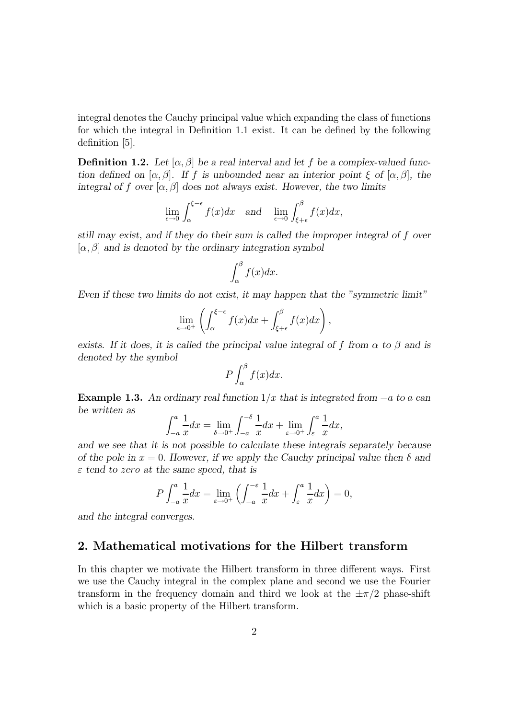integral denotes the Cauchy principal value which expanding the class of functions for which the integral in Definition 1.1 exist. It can be defined by the following definition  $[5]$ .

**Definition 1.2.** Let  $[\alpha, \beta]$  be a real interval and let f be a complex-valued function defined on  $[\alpha, \beta]$ . If f is unbounded near an interior point  $\xi$  of  $[\alpha, \beta]$ , the integral of f over  $[\alpha, \beta]$  does not always exist. However, the two limits

$$
\lim_{\epsilon \to 0} \int_{\alpha}^{\xi - \epsilon} f(x) dx \quad \text{and} \quad \lim_{\epsilon \to 0} \int_{\xi + \epsilon}^{\beta} f(x) dx,
$$

still may exist, and if they do their sum is called the improper integral of f over  $[\alpha, \beta]$  and is denoted by the ordinary integration symbol

$$
\int_{\alpha}^{\beta} f(x) dx.
$$

Even if these two limits do not exist, it may happen that the "symmetric limit"

$$
\lim_{\epsilon \to 0^+} \left( \int_{\alpha}^{\xi - \epsilon} f(x) dx + \int_{\xi + \epsilon}^{\beta} f(x) dx \right),
$$

exists. If it does, it is called the principal value integral of f from  $\alpha$  to  $\beta$  and is denoted by the symbol

$$
P\int_{\alpha}^{\beta}f(x)dx.
$$

**Example 1.3.** An ordinary real function  $1/x$  that is integrated from  $-a$  to a can be written as

$$
\int_{-a}^{a} \frac{1}{x} dx = \lim_{\delta \to 0^+} \int_{-a}^{-\delta} \frac{1}{x} dx + \lim_{\varepsilon \to 0^+} \int_{\varepsilon}^{a} \frac{1}{x} dx,
$$

and we see that it is not possible to calculate these integrals separately because of the pole in  $x = 0$ . However, if we apply the Cauchy principal value then  $\delta$  and  $\varepsilon$  tend to zero at the same speed, that is

$$
P \int_{-a}^{a} \frac{1}{x} dx = \lim_{\varepsilon \to 0^{+}} \left( \int_{-a}^{-\varepsilon} \frac{1}{x} dx + \int_{\varepsilon}^{a} \frac{1}{x} dx \right) = 0,
$$

and the integral converges.

## 2. Mathematical motivations for the Hilbert transform

In this chapter we motivate the Hilbert transform in three different ways. First we use the Cauchy integral in the complex plane and second we use the Fourier transform in the frequency domain and third we look at the  $\pm \pi/2$  phase-shift which is a basic property of the Hilbert transform.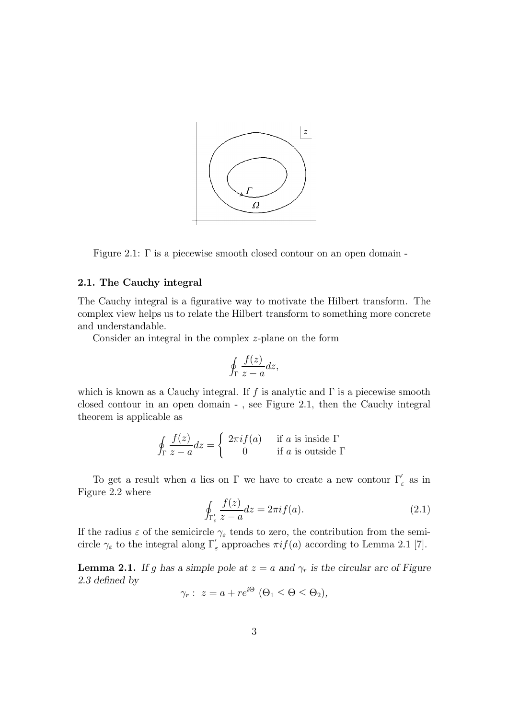

Figure 2.1:  $\Gamma$  is a piecewise smooth closed contour on an open domain -

#### 2.1. The Cauchy integral

The Cauchy integral is a figurative way to motivate the Hilbert transform. The complex view helps us to relate the Hilbert transform to something more concrete and understandable.

Consider an integral in the complex z-plane on the form

$$
\oint_{\Gamma} \frac{f(z)}{z - a} dz,
$$

which is known as a Cauchy integral. If f is analytic and  $\Gamma$  is a piecewise smooth closed contour in an open domain -, see Figure 2.1, then the Cauchy integral theorem is applicable as

$$
\oint_{\Gamma} \frac{f(z)}{z - a} dz = \begin{cases} 2\pi i f(a) & \text{if } a \text{ is inside } \Gamma \\ 0 & \text{if } a \text{ is outside } \Gamma \end{cases}
$$

To get a result when a lies on  $\Gamma$  we have to create a new contour  $\Gamma'_{\varepsilon}$  as in Figure 2.2 where

$$
\oint_{\Gamma'_{\varepsilon}} \frac{f(z)}{z - a} dz = 2\pi i f(a). \tag{2.1}
$$

If the radius  $\varepsilon$  of the semicircle  $\gamma_\varepsilon$  tends to zero, the contribution from the semicircle  $\gamma_{\varepsilon}$  to the integral along  $\Gamma'_{\varepsilon}$  approaches  $\pi i f(a)$  according to Lemma 2.1 [7].

**Lemma 2.1.** If g has a simple pole at  $z = a$  and  $\gamma_r$  is the circular arc of Figure  $2.3$  defined by

$$
\gamma_r: z = a + re^{i\Theta} \ (\Theta_1 \le \Theta \le \Theta_2),
$$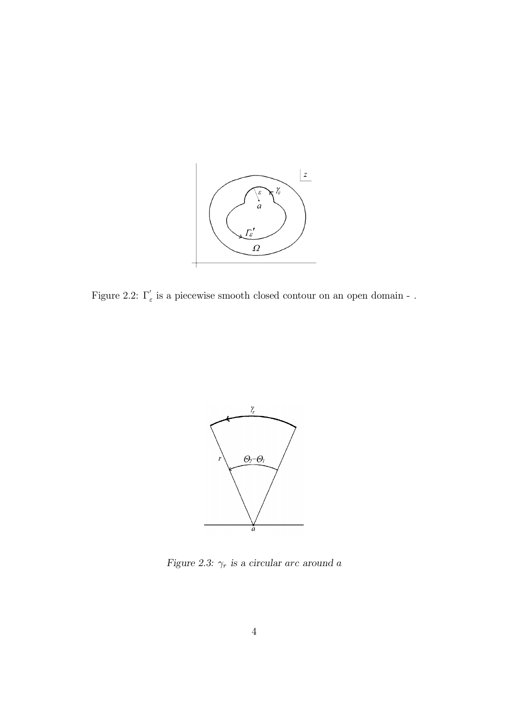

Figure 2.2:  $\Gamma'_{\varepsilon}$  is a piecewise smooth closed contour on an open domain -.



Figure 2.3:  $\gamma_r$  is a circular arc around a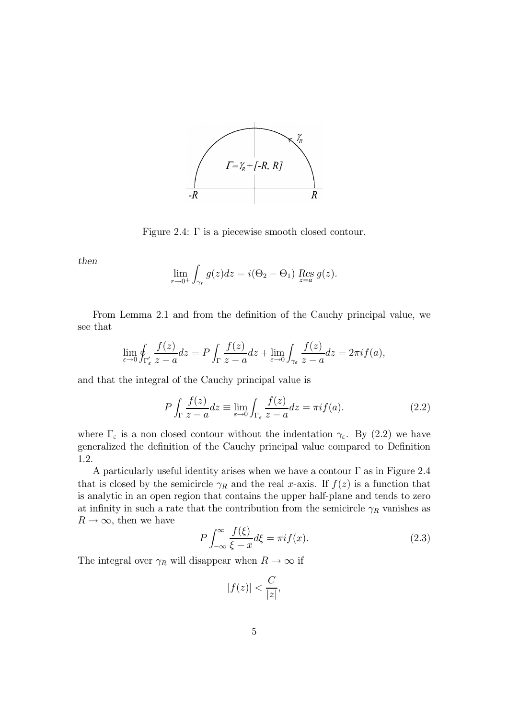

Figure 2.4:  $\Gamma$  is a piecewise smooth closed contour.

then

$$
\lim_{r \to 0^+} \int_{\gamma_r} g(z) dz = i(\Theta_2 - \Theta_1) \operatorname{Res}_{z=a} g(z).
$$

From Lemma 2.1 and from the definition of the Cauchy principal value, we see that

$$
\lim_{\varepsilon \to 0} \oint_{\Gamma'_\varepsilon} \frac{f(z)}{z - a} dz = P \int_{\Gamma} \frac{f(z)}{z - a} dz + \lim_{\varepsilon \to 0} \int_{\gamma_{\varepsilon}} \frac{f(z)}{z - a} dz = 2\pi i f(a),
$$

and that the integral of the Cauchy principal value is

$$
P \int_{\Gamma} \frac{f(z)}{z - a} dz \equiv \lim_{\varepsilon \to 0} \int_{\Gamma_{\varepsilon}} \frac{f(z)}{z - a} dz = \pi i f(a). \tag{2.2}
$$

where  $\Gamma_{\varepsilon}$  is a non closed contour without the indentation  $\gamma_{\varepsilon}$ . By (2.2) we have generalized the definition of the Cauchy principal value compared to Definition 1.2.

A particularly useful identity arises when we have a contour  $\Gamma$  as in Figure 2.4 that is closed by the semicircle  $\gamma_R$  and the real x-axis. If  $f(z)$  is a function that is analytic in an open region that contains the upper half-plane and tends to zero at infinity in such a rate that the contribution from the semicircle  $\gamma_R$  vanishes as  $R \to \infty$ , then we have

$$
P \int_{-\infty}^{\infty} \frac{f(\xi)}{\xi - x} d\xi = \pi i f(x). \tag{2.3}
$$

The integral over  $\gamma_R$  will disappear when  $R \to \infty$  if

$$
|f(z)| < \frac{C}{|z|},
$$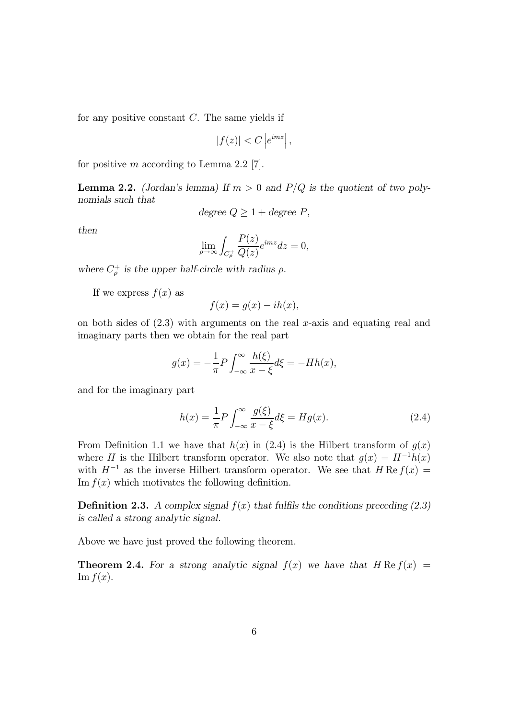for any positive constant  $C$ . The same yields if

$$
|f(z)| < C \left| e^{imz} \right|,
$$

for positive  $m$  according to Lemma 2.2 [7].

**Lemma 2.2.** (Jordan's lemma) If  $m > 0$  and  $P/Q$  is the quotient of two polynomials such that

$$
degree Q \ge 1 + degree P,
$$

then

$$
\lim_{\rho \to \infty} \int_{C_{\rho}^+} \frac{P(z)}{Q(z)} e^{imz} dz = 0,
$$

where  $C_{\rho}^{+}$  is the upper half-circle with radius  $\rho$ .

If we express  $f(x)$  as

$$
f(x) = g(x) - ih(x),
$$

on both sides of  $(2.3)$  with arguments on the real x-axis and equating real and imaginary parts then we obtain for the real part

$$
g(x) = -\frac{1}{\pi} P \int_{-\infty}^{\infty} \frac{h(\xi)}{x - \xi} d\xi = -Hh(x),
$$

and for the imaginary part

$$
h(x) = \frac{1}{\pi} P \int_{-\infty}^{\infty} \frac{g(\xi)}{x - \xi} d\xi = Hg(x). \tag{2.4}
$$

From Definition 1.1 we have that  $h(x)$  in (2.4) is the Hilbert transform of  $q(x)$ where H is the Hilbert transform operator. We also note that  $g(x) = H^{-1}h(x)$ with  $H^{-1}$  as the inverse Hilbert transform operator. We see that  $H \text{Re } f(x) =$ Im  $f(x)$  which motivates the following definition.

**Definition 2.3.** A complex signal  $f(x)$  that fulfils the conditions preceding (2.3) is called a strong analytic signal.

Above we have just proved the following theorem.

**Theorem 2.4.** For a strong analytic signal  $f(x)$  we have that  $H \text{Re } f(x) =$  $\text{Im } f(x)$ .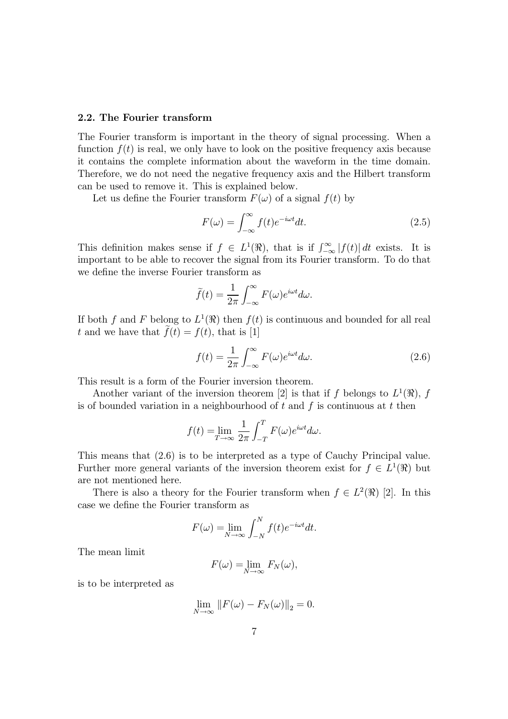#### 2.2. The Fourier transform

The Fourier transform is important in the theory of signal processing. When a function  $f(t)$  is real, we only have to look on the positive frequency axis because it contains the complete information about the waveform in the time domain. Therefore, we do not need the negative frequency axis and the Hilbert transform can be used to remove it. This is explained below.

Let us define the Fourier transform  $F(\omega)$  of a signal  $f(t)$  by

$$
F(\omega) = \int_{-\infty}^{\infty} f(t)e^{-i\omega t}dt.
$$
 (2.5)

This definition makes sense if  $f \in L^1(\mathbb{R})$ , that is if  $\int_{-\infty}^{\infty} |f(t)| dt$  exists. It is important to be able to recover the signal from its Fourier transform. To do that we define the inverse Fourier transform as

$$
\tilde{f}(t) = \frac{1}{2\pi} \int_{-\infty}^{\infty} F(\omega) e^{i\omega t} d\omega.
$$

If both f and F belong to  $L^1(\mathbb{R})$  then  $f(t)$  is continuous and bounded for all real t and we have that  $f(t) = f(t)$ , that is [1]

$$
f(t) = \frac{1}{2\pi} \int_{-\infty}^{\infty} F(\omega) e^{i\omega t} d\omega.
$$
 (2.6)

This result is a form of the Fourier inversion theorem.

Another variant of the inversion theorem [2] is that if f belongs to  $L^1(\mathbb{R})$ , f is of bounded variation in a neighbourhood of  $t$  and  $f$  is continuous at  $t$  then

$$
f(t) = \lim_{T \to \infty} \frac{1}{2\pi} \int_{-T}^{T} F(\omega) e^{i\omega t} d\omega.
$$

This means that (2.6) is to be interpreted as a type of Cauchy Principal value. Further more general variants of the inversion theorem exist for  $f \in L^1(\mathbb{R})$  but are not mentioned here.

There is also a theory for the Fourier transform when  $f \in L^2(\mathbb{R})$  [2]. In this case we define the Fourier transform as

$$
F(\omega) = \lim_{N \to \infty} \int_{-N}^{N} f(t)e^{-i\omega t} dt.
$$

The mean limit

$$
F(\omega) = \lim_{N \to \infty} F_N(\omega),
$$

is to be interpreted as

$$
\lim_{N \to \infty} ||F(\omega) - F_N(\omega)||_2 = 0.
$$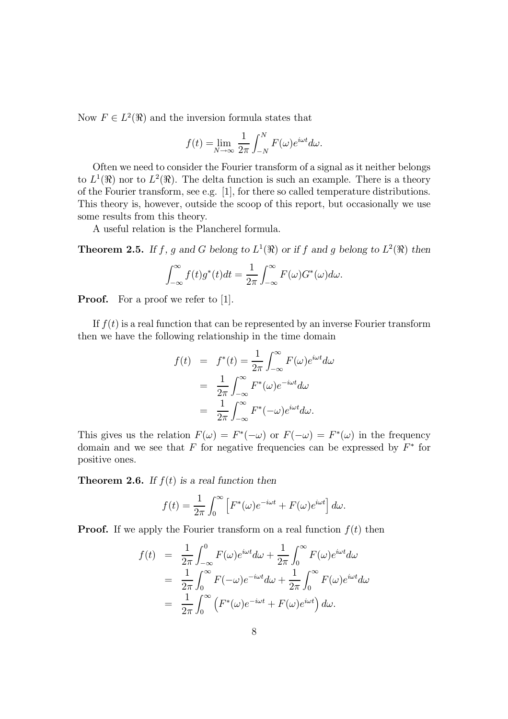Now  $F \in L^2(\mathbb{R})$  and the inversion formula states that

$$
f(t) = \lim_{N \to \infty} \frac{1}{2\pi} \int_{-N}^{N} F(\omega) e^{i\omega t} d\omega.
$$

Often we need to consider the Fourier transform of a signal as it neither belongs to  $L^1(\mathbb{R})$  nor to  $L^2(\mathbb{R})$ . The delta function is such an example. There is a theory of the Fourier transform, see e.g. [1], for there so called temperature distributions. This theory is, however, outside the scoop of this report, but occasionally we use some results from this theory.

A useful relation is the Plancherel formula.

**Theorem 2.5.** If f, g and G belong to  $L^1(\mathbb{R})$  or if f and g belong to  $L^2(\mathbb{R})$  then

$$
\int_{-\infty}^{\infty} f(t)g^*(t)dt = \frac{1}{2\pi} \int_{-\infty}^{\infty} F(\omega)G^*(\omega)d\omega.
$$

**Proof.** For a proof we refer to [1].

If  $f(t)$  is a real function that can be represented by an inverse Fourier transform then we have the following relationship in the time domain

$$
f(t) = f^*(t) = \frac{1}{2\pi} \int_{-\infty}^{\infty} F(\omega) e^{i\omega t} d\omega
$$
  

$$
= \frac{1}{2\pi} \int_{-\infty}^{\infty} F^*(\omega) e^{-i\omega t} d\omega
$$
  

$$
= \frac{1}{2\pi} \int_{-\infty}^{\infty} F^*(-\omega) e^{i\omega t} d\omega.
$$

This gives us the relation  $F(\omega) = F^*(-\omega)$  or  $F(-\omega) = F^*(\omega)$  in the frequency domain and we see that  $F$  for negative frequencies can be expressed by  $F^*$  for positive ones.

**Theorem 2.6.** If  $f(t)$  is a real function then

$$
f(t) = \frac{1}{2\pi} \int_0^\infty \left[ F^*(\omega) e^{-i\omega t} + F(\omega) e^{i\omega t} \right] d\omega.
$$

**Proof.** If we apply the Fourier transform on a real function  $f(t)$  then

$$
f(t) = \frac{1}{2\pi} \int_{-\infty}^{0} F(\omega)e^{i\omega t} d\omega + \frac{1}{2\pi} \int_{0}^{\infty} F(\omega)e^{i\omega t} d\omega
$$
  

$$
= \frac{1}{2\pi} \int_{0}^{\infty} F(-\omega)e^{-i\omega t} d\omega + \frac{1}{2\pi} \int_{0}^{\infty} F(\omega)e^{i\omega t} d\omega
$$
  

$$
= \frac{1}{2\pi} \int_{0}^{\infty} \left( F^{*}(\omega)e^{-i\omega t} + F(\omega)e^{i\omega t} \right) d\omega.
$$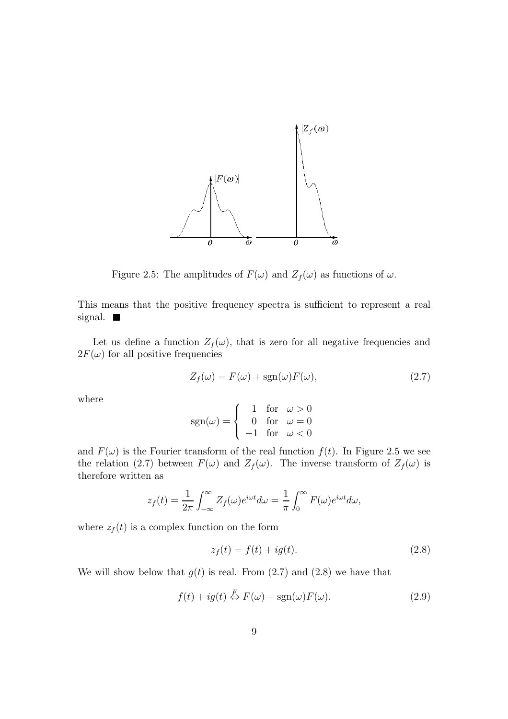

Figure 2.5: The amplitudes of  $F(\omega)$  and  $Z_f(\omega)$  as functions of  $\omega$ .

This means that the positive frequency spectra is sufficient to represent a real signal.

Let us define a function  $Z_f(\omega)$ , that is zero for all negative frequencies and  $2F(\omega)$  for all positive frequencies

$$
Z_f(\omega) = F(\omega) + sgn(\omega)F(\omega), \qquad (2.7)
$$

where

$$
sgn(\omega) = \begin{cases} 1 & \text{for } \omega > 0 \\ 0 & \text{for } \omega = 0 \\ -1 & \text{for } \omega < 0 \end{cases}
$$

and  $F(\omega)$  is the Fourier transform of the real function  $f(t)$ . In Figure 2.5 we see the relation (2.7) between  $F(\omega)$  and  $Z_f(\omega)$ . The inverse transform of  $Z_f(\omega)$  is therefore written as

$$
z_f(t) = \frac{1}{2\pi} \int_{-\infty}^{\infty} Z_f(\omega) e^{i\omega t} d\omega = \frac{1}{\pi} \int_{0}^{\infty} F(\omega) e^{i\omega t} d\omega,
$$

where  $z_f(t)$  is a complex function on the form

$$
z_f(t) = f(t) + ig(t).
$$
\n
$$
(2.8)
$$

We will show below that  $g(t)$  is real. From  $(2.7)$  and  $(2.8)$  we have that

$$
f(t) + ig(t) \stackrel{F}{\Leftrightarrow} F(\omega) + \text{sgn}(\omega)F(\omega).
$$
 (2.9)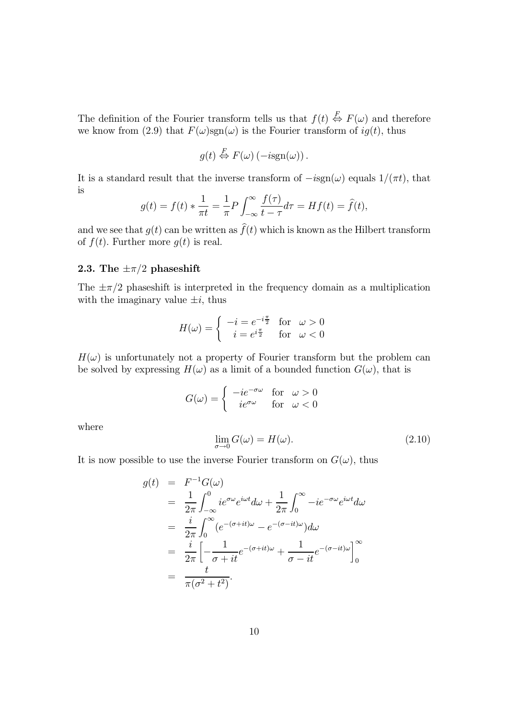The definition of the Fourier transform tells us that  $f(t) \stackrel{F}{\Leftrightarrow} F(\omega)$  and therefore we know from (2.9) that  $F(\omega)$ sgn( $\omega$ ) is the Fourier transform of  $iq(t)$ , thus

$$
g(t) \stackrel{F}{\Leftrightarrow} F(\omega) (-i \text{sgn}(\omega)).
$$

It is a standard result that the inverse transform of  $-i\text{sgn}(\omega)$  equals  $1/(\pi t)$ , that is

$$
g(t) = f(t) * \frac{1}{\pi t} = \frac{1}{\pi} P \int_{-\infty}^{\infty} \frac{f(\tau)}{t - \tau} d\tau = Hf(t) = \hat{f}(t),
$$

and we see that  $g(t)$  can be written as  $f(t)$  which is known as the Hilbert transform of  $f(t)$ . Further more  $q(t)$  is real.

#### 2.3. The  $\pm \pi/2$  phaseshift

The  $\pm \pi/2$  phases hift is interpreted in the frequency domain as a multiplication with the imaginary value  $\pm i$ , thus

$$
H(\omega) = \begin{cases} -i = e^{-i\frac{\pi}{2}} & \text{for } \omega > 0\\ i = e^{i\frac{\pi}{2}} & \text{for } \omega < 0 \end{cases}
$$

 $H(\omega)$  is unfortunately not a property of Fourier transform but the problem can be solved by expressing  $H(\omega)$  as a limit of a bounded function  $G(\omega)$ , that is

$$
G(\omega) = \begin{cases} -ie^{-\sigma\omega} & \text{for } \omega > 0\\ ie^{\sigma\omega} & \text{for } \omega < 0 \end{cases}
$$

where

$$
\lim_{\sigma \to 0} G(\omega) = H(\omega). \tag{2.10}
$$

It is now possible to use the inverse Fourier transform on  $G(\omega)$ , thus

$$
g(t) = F^{-1}G(\omega)
$$
  
=  $\frac{1}{2\pi} \int_{-\infty}^{0} i e^{\sigma \omega} e^{i\omega t} d\omega + \frac{1}{2\pi} \int_{0}^{\infty} -i e^{-\sigma \omega} e^{i\omega t} d\omega$   
=  $\frac{i}{2\pi} \int_{0}^{\infty} (e^{-(\sigma + it)\omega} - e^{-(\sigma - it)\omega}) d\omega$   
=  $\frac{i}{2\pi} \left[ -\frac{1}{\sigma + it} e^{-(\sigma + it)\omega} + \frac{1}{\sigma - it} e^{-(\sigma - it)\omega} \right]_{0}^{\infty}$   
=  $\frac{t}{\pi(\sigma^2 + t^2)}$ .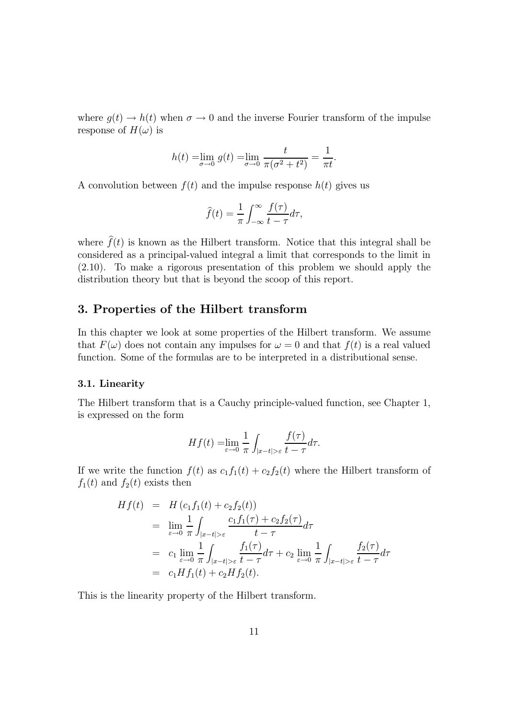where  $q(t) \rightarrow h(t)$  when  $\sigma \rightarrow 0$  and the inverse Fourier transform of the impulse response of  $H(\omega)$  is

$$
h(t) = \lim_{\sigma \to 0} g(t) = \lim_{\sigma \to 0} \frac{t}{\pi(\sigma^2 + t^2)} = \frac{1}{\pi t}.
$$

A convolution between  $f(t)$  and the impulse response  $h(t)$  gives us

$$
\widehat{f}(t) = \frac{1}{\pi} \int_{-\infty}^{\infty} \frac{f(\tau)}{t - \tau} d\tau,
$$

where  $f(t)$  is known as the Hilbert transform. Notice that this integral shall be considered as a principal-valued integral a limit that corresponds to the limit in (2.10). To make a rigorous presentation of this problem we should apply the distribution theory but that is beyond the scoop of this report.

## 3. Properties of the Hilbert transform

In this chapter we look at some properties of the Hilbert transform. We assume that  $F(\omega)$  does not contain any impulses for  $\omega = 0$  and that  $f(t)$  is a real valued function. Some of the formulas are to be interpreted in a distributional sense.

#### 3.1. Linearity

The Hilbert transform that is a Cauchy principle-valued function, see Chapter 1, is expressed on the form

$$
Hf(t) = \lim_{\varepsilon \to 0} \frac{1}{\pi} \int_{|x-t| > \varepsilon} \frac{f(\tau)}{t - \tau} d\tau.
$$

If we write the function  $f(t)$  as  $c_1f_1(t) + c_2f_2(t)$  where the Hilbert transform of  $f_1(t)$  and  $f_2(t)$  exists then

$$
Hf(t) = H(c_1f_1(t) + c_2f_2(t))
$$
  
=  $\lim_{\varepsilon \to 0} \frac{1}{\pi} \int_{|x-t| > \varepsilon} \frac{c_1f_1(\tau) + c_2f_2(\tau)}{t - \tau} d\tau$   
=  $c_1 \lim_{\varepsilon \to 0} \frac{1}{\pi} \int_{|x-t| > \varepsilon} \frac{f_1(\tau)}{t - \tau} d\tau + c_2 \lim_{\varepsilon \to 0} \frac{1}{\pi} \int_{|x-t| > \varepsilon} \frac{f_2(\tau)}{t - \tau} d\tau$   
=  $c_1 Hf_1(t) + c_2 Hf_2(t).$ 

This is the linearity property of the Hilbert transform.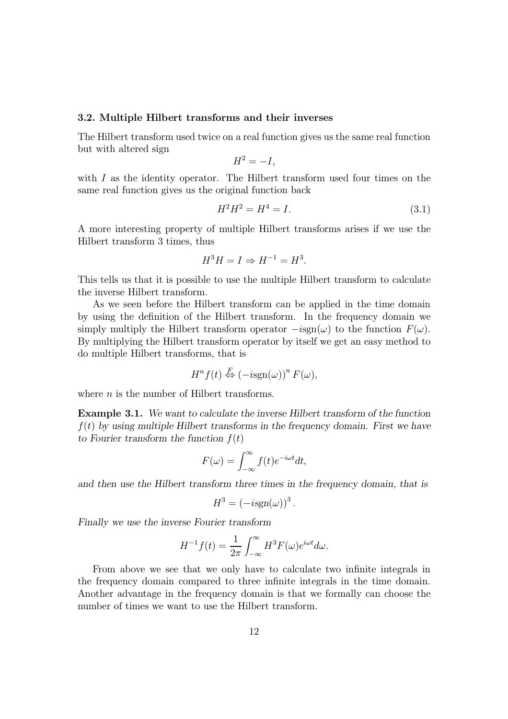#### 3.2. Multiple Hilbert transforms and their inverses

The Hilbert transform used twice on a real function gives us the same real function but with altered sign

$$
H^2=-I,
$$

with  $I$  as the identity operator. The Hilbert transform used four times on the same real function gives us the original function back

$$
H^2 H^2 = H^4 = I.
$$
\n(3.1)

A more interesting property of multiple Hilbert transforms arises if we use the Hilbert transform 3 times, thus

$$
H^3H = I \Rightarrow H^{-1} = H^3.
$$

This tells us that it is possible to use the multiple Hilbert transform to calculate the inverse Hilbert transform.

As we seen before the Hilbert transform can be applied in the time domain by using the definition of the Hilbert transform. In the frequency domain we simply multiply the Hilbert transform operator  $-isgn(\omega)$  to the function  $F(\omega)$ . By multiplying the Hilbert transform operator by itself we get an easy method to do multiple Hilbert transforms, that is

$$
H^n f(t) \stackrel{F}{\Leftrightarrow} (-i\text{sgn}(\omega))^n F(\omega),
$$

where  $n$  is the number of Hilbert transforms.

Example 3.1. We want to calculate the inverse Hilbert transform of the function  $f(t)$  by using multiple Hilbert transforms in the frequency domain. First we have to Fourier transform the function  $f(t)$ 

$$
F(\omega) = \int_{-\infty}^{\infty} f(t)e^{-i\omega t}dt,
$$

and then use the Hilbert transform three times in the frequency domain, that is

$$
H^3 = (-i\text{sgn}(\omega))^3.
$$

Finally we use the inverse Fourier transform

$$
H^{-1}f(t) = \frac{1}{2\pi} \int_{-\infty}^{\infty} H^3 F(\omega) e^{i\omega t} d\omega.
$$

From above we see that we only have to calculate two infinite integrals in the frequency domain compared to three infinite integrals in the time domain. Another advantage in the frequency domain is that we formally can choose the number of times we want to use the Hilbert transform.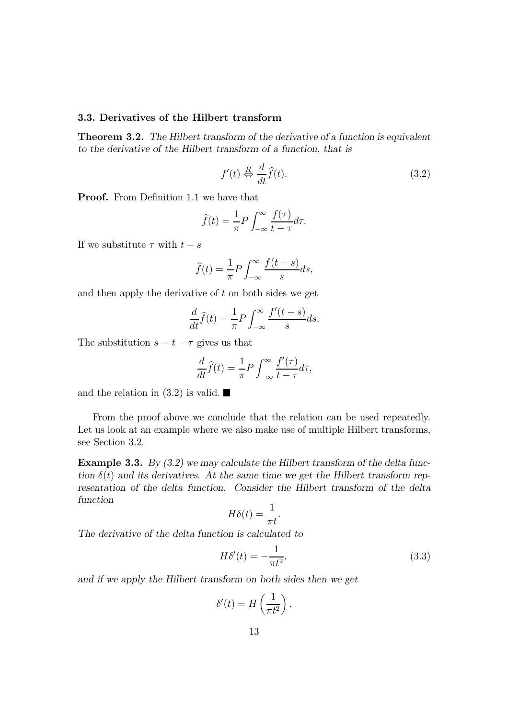#### 3.3. Derivatives of the Hilbert transform

Theorem 3.2. The Hilbert transform of the derivative of a function is equivalent to the derivative of the Hilbert transform of a function, that is

$$
f'(t) \stackrel{H}{\leftrightarrow} \frac{d}{dt}\hat{f}(t). \tag{3.2}
$$

**Proof.** From Definition 1.1 we have that

$$
\widehat{f}(t) = \frac{1}{\pi} P \int_{-\infty}^{\infty} \frac{f(\tau)}{t - \tau} d\tau.
$$

If we substitute  $\tau$  with  $t - s$ 

$$
\widehat{f}(t) = \frac{1}{\pi} P \int_{-\infty}^{\infty} \frac{f(t-s)}{s} ds,
$$

and then apply the derivative of  $t$  on both sides we get

$$
\frac{d}{dt}\widehat{f}(t) = \frac{1}{\pi}P \int_{-\infty}^{\infty} \frac{f'(t-s)}{s} ds.
$$

The substitution  $s = t - \tau$  gives us that

$$
\frac{d}{dt}\widehat{f}(t) = \frac{1}{\pi}P \int_{-\infty}^{\infty} \frac{f'(\tau)}{t - \tau} d\tau,
$$

and the relation in  $(3.2)$  is valid.

From the proof above we conclude that the relation can be used repeatedly. Let us look at an example where we also make use of multiple Hilbert transforms, see Section 3.2.

**Example 3.3.** By  $(3.2)$  we may calculate the Hilbert transform of the delta function  $\delta(t)$  and its derivatives. At the same time we get the Hilbert transform representation of the delta function. Consider the Hilbert transform of the delta function

$$
H\delta(t) = \frac{1}{\pi t}.
$$

The derivative of the delta function is calculated to

$$
H\delta'(t) = -\frac{1}{\pi t^2},\tag{3.3}
$$

and if we apply the Hilbert transform on both sides then we get

$$
\delta'(t) = H\left(\frac{1}{\pi t^2}\right).
$$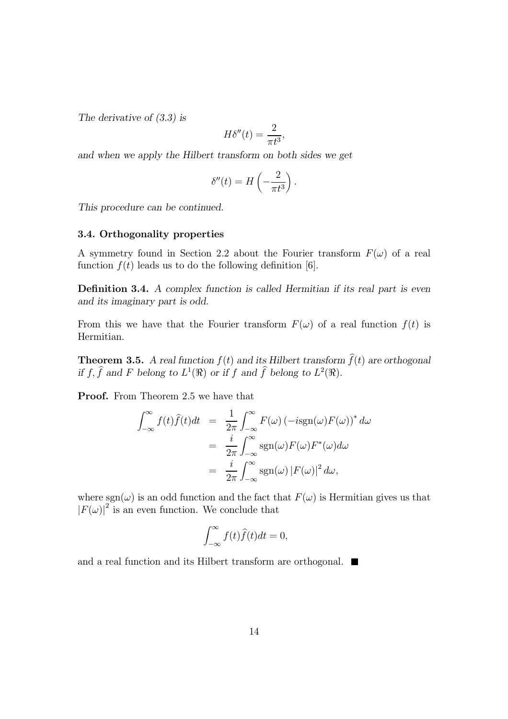The derivative of (3.3) is

$$
H\delta''(t) = \frac{2}{\pi t^3},
$$

and when we apply the Hilbert transform on both sides we get

$$
\delta''(t) = H\left(-\frac{2}{\pi t^3}\right).
$$

This procedure can be continued.

#### 3.4. Orthogonality properties

A symmetry found in Section 2.2 about the Fourier transform  $F(\omega)$  of a real function  $f(t)$  leads us to do the following definition [6].

**Definition 3.4.** A complex function is called Hermitian if its real part is even and its imaginary part is odd.

From this we have that the Fourier transform  $F(\omega)$  of a real function  $f(t)$  is Hermitian.

**Theorem 3.5.** A real function  $f(t)$  and its Hilbert transform  $\hat{f}(t)$  are orthogonal if  $f$ ,  $\hat{f}$  and  $F$  belong to  $L^1(\Re)$  or if  $f$  and  $\hat{f}$  belong to  $L^2(\Re)$ .

Proof. From Theorem 2.5 we have that

$$
\int_{-\infty}^{\infty} f(t)\hat{f}(t)dt = \frac{1}{2\pi} \int_{-\infty}^{\infty} F(\omega) (-i\text{sgn}(\omega)F(\omega))^* d\omega
$$

$$
= \frac{i}{2\pi} \int_{-\infty}^{\infty} \text{sgn}(\omega)F(\omega)F^*(\omega) d\omega
$$

$$
= \frac{i}{2\pi} \int_{-\infty}^{\infty} \text{sgn}(\omega) |F(\omega)|^2 d\omega,
$$

where sgn( $\omega$ ) is an odd function and the fact that  $F(\omega)$  is Hermitian gives us that  $|F(\omega)|^2$  is an even function. We conclude that

$$
\int_{-\infty}^{\infty} f(t)\hat{f}(t)dt = 0,
$$

and a real function and its Hilbert transform are orthogonal.  $\blacksquare$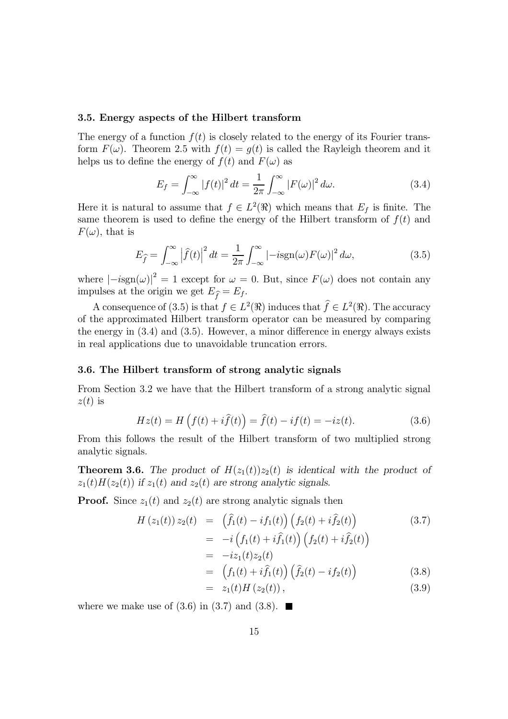#### 3.5. Energy aspects of the Hilbert transform

The energy of a function  $f(t)$  is closely related to the energy of its Fourier transform  $F(\omega)$ . Theorem 2.5 with  $f(t) = q(t)$  is called the Rayleigh theorem and it helps us to define the energy of  $f(t)$  and  $F(\omega)$  as

$$
E_f = \int_{-\infty}^{\infty} |f(t)|^2 dt = \frac{1}{2\pi} \int_{-\infty}^{\infty} |F(\omega)|^2 d\omega.
$$
 (3.4)

Here it is natural to assume that  $f \in L^2(\mathbb{R})$  which means that  $E_f$  is finite. The same theorem is used to define the energy of the Hilbert transform of  $f(t)$  and  $F(\omega)$ , that is

$$
E_{\hat{f}} = \int_{-\infty}^{\infty} \left| \hat{f}(t) \right|^2 dt = \frac{1}{2\pi} \int_{-\infty}^{\infty} \left| -i \text{sgn}(\omega) F(\omega) \right|^2 d\omega, \tag{3.5}
$$

where  $\left|-i\text{sgn}(\omega)\right|^2 = 1$  except for  $\omega = 0$ . But, since  $F(\omega)$  does not contain any impulses at the origin we get  $E_{\hat{f}} = E_f$ .

A consequence of (3.5) is that  $f \in L^2(\mathbb{R})$  induces that  $\hat{f} \in L^2(\mathbb{R})$ . The accuracy of the approximated Hilbert transform operator can be measured by comparing the energy in  $(3.4)$  and  $(3.5)$ . However, a minor difference in energy always exists in real applications due to unavoidable truncation errors.

### 3.6. The Hilbert transform of strong analytic signals

From Section 3.2 we have that the Hilbert transform of a strong analytic signal  $z(t)$  is

$$
Hz(t) = H\left(f(t) + i\hat{f}(t)\right) = \hat{f}(t) - if(t) = -iz(t). \tag{3.6}
$$

From this follows the result of the Hilbert transform of two multiplied strong analytic signals.

**Theorem 3.6.** The product of  $H(z_1(t))z_2(t)$  is identical with the product of  $z_1(t)H(z_2(t))$  if  $z_1(t)$  and  $z_2(t)$  are strong analytic signals.

**Proof.** Since  $z_1(t)$  and  $z_2(t)$  are strong analytic signals then

$$
H(z_1(t)) z_2(t) = (\hat{f}_1(t) - if_1(t)) (f_2(t) + i\hat{f}_2(t))
$$
  
=  $-i (f_1(t) + i\hat{f}_1(t)) (f_2(t) + i\hat{f}_2(t))$   
=  $-iz_1(t)z_2(t)$  (3.7)

$$
= (f_1(t) + i\hat{f}_1(t)) (\hat{f}_2(t) - i f_2(t)) \qquad (3.8)
$$

$$
= z_1(t)H(z_2(t)), \t\t(3.9)
$$

where we make use of  $(3.6)$  in  $(3.7)$  and  $(3.8)$ .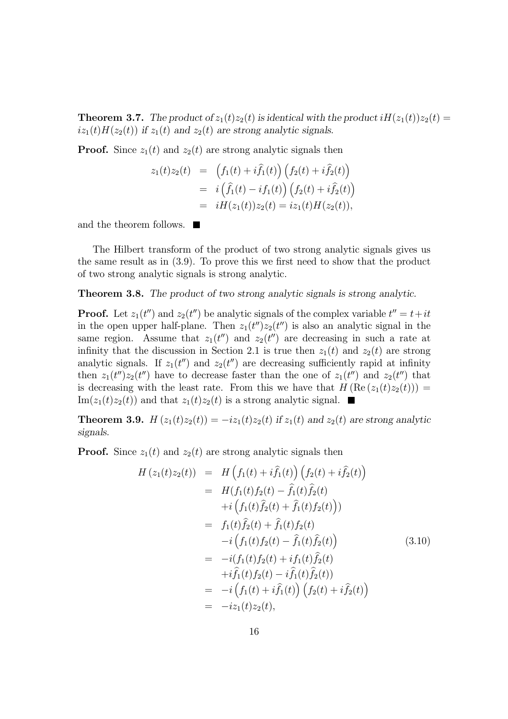**Theorem 3.7.** The product of  $z_1(t)z_2(t)$  is identical with the product  $iH(z_1(t))z_2(t) =$  $iz_1(t)H(z_2(t))$  if  $z_1(t)$  and  $z_2(t)$  are strong analytic signals.

**Proof.** Since  $z_1(t)$  and  $z_2(t)$  are strong analytic signals then

$$
z_1(t)z_2(t) = (f_1(t) + i\hat{f}_1(t))(f_2(t) + i\hat{f}_2(t))
$$
  
=  $i(\hat{f}_1(t) - if_1(t))(f_2(t) + i\hat{f}_2(t))$   
=  $iH(z_1(t))z_2(t) = iz_1(t)H(z_2(t)),$ 

and the theorem follows. ■

The Hilbert transform of the product of two strong analytic signals gives us the same result as in  $(3.9)$ . To prove this we first need to show that the product of two strong analytic signals is strong analytic.

Theorem 3.8. The product of two strong analytic signals is strong analytic.

**Proof.** Let  $z_1(t'')$  and  $z_2(t'')$  be analytic signals of the complex variable  $t'' = t + it$ in the open upper half-plane. Then  $z_1(t'')z_2(t'')$  is also an analytic signal in the same region. Assume that  $z_1(t'')$  and  $z_2(t'')$  are decreasing in such a rate at infinity that the discussion in Section 2.1 is true then  $z_1(t)$  and  $z_2(t)$  are strong analytic signals. If  $z_1(t'')$  and  $z_2(t'')$  are decreasing sufficiently rapid at infinity then  $z_1(t'')z_2(t'')$  have to decrease faster than the one of  $z_1(t'')$  and  $z_2(t'')$  that is decreasing with the least rate. From this we have that  $H(\text{Re}(z_1(t)z_2(t))) =$  $\text{Im}(z_1(t)z_2(t))$  and that  $z_1(t)z_2(t)$  is a strong analytic signal.

**Theorem 3.9.**  $H(z_1(t)z_2(t)) = -iz_1(t)z_2(t)$  if  $z_1(t)$  and  $z_2(t)$  are strong analytic signals.

**Proof.** Since  $z_1(t)$  and  $z_2(t)$  are strong analytic signals then

$$
H(z_1(t)z_2(t)) = H(f_1(t) + i\hat{f}_1(t)) (f_2(t) + i\hat{f}_2(t))
$$
  
\n
$$
= H(f_1(t)f_2(t) - \hat{f}_1(t)\hat{f}_2(t)
$$
  
\n
$$
+ i (f_1(t)\hat{f}_2(t) + \hat{f}_1(t)f_2(t))
$$
  
\n
$$
= f_1(t)\hat{f}_2(t) + \hat{f}_1(t)f_2(t)
$$
  
\n
$$
- i (f_1(t)f_2(t) - \hat{f}_1(t)\hat{f}_2(t))
$$
  
\n
$$
= -i(f_1(t)f_2(t) + i f_1(t)\hat{f}_2(t)
$$
  
\n
$$
+ i\hat{f}_1(t)f_2(t) - i\hat{f}_1(t)\hat{f}_2(t)
$$
  
\n
$$
= -i (f_1(t) + i\hat{f}_1(t)) (f_2(t) + i\hat{f}_2(t))
$$
  
\n
$$
= -i z_1(t)z_2(t),
$$
  
\n(3.10)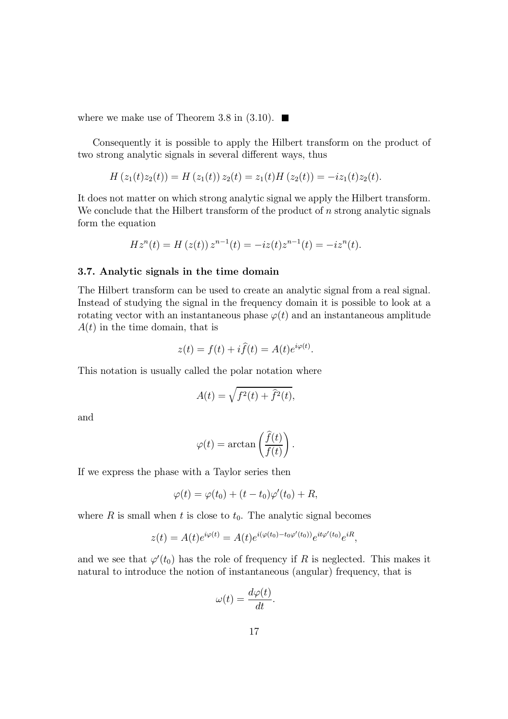where we make use of Theorem 3.8 in  $(3.10)$ .

Consequently it is possible to apply the Hilbert transform on the product of two strong analytic signals in several different ways, thus

$$
H(z_1(t)z_2(t)) = H(z_1(t)) z_2(t) = z_1(t)H(z_2(t)) = -iz_1(t)z_2(t).
$$

It does not matter on which strong analytic signal we apply the Hilbert transform. We conclude that the Hilbert transform of the product of  $n$  strong analytic signals form the equation

$$
Hz^{n}(t) = H(z(t)) z^{n-1}(t) = -iz(t) z^{n-1}(t) = -iz^{n}(t).
$$

#### 3.7. Analytic signals in the time domain

The Hilbert transform can be used to create an analytic signal from a real signal. Instead of studying the signal in the frequency domain it is possible to look at a rotating vector with an instantaneous phase  $\varphi(t)$  and an instantaneous amplitude  $A(t)$  in the time domain, that is

$$
z(t) = f(t) + i\hat{f}(t) = A(t)e^{i\varphi(t)}.
$$

This notation is usually called the polar notation where

$$
A(t) = \sqrt{f^2(t) + \hat{f}^2(t)},
$$

and

$$
\varphi(t) = \arctan\left(\frac{\hat{f}(t)}{f(t)}\right).
$$

If we express the phase with a Taylor series then

$$
\varphi(t) = \varphi(t_0) + (t - t_0)\varphi'(t_0) + R,
$$

where R is small when t is close to  $t_0$ . The analytic signal becomes

$$
z(t) = A(t)e^{i\varphi(t)} = A(t)e^{i(\varphi(t_0) - t_0\varphi'(t_0))}e^{it\varphi'(t_0)}e^{iR},
$$

and we see that  $\varphi'(t_0)$  has the role of frequency if R is neglected. This makes it natural to introduce the notion of instantaneous (angular) frequency, that is

$$
\omega(t) = \frac{d\varphi(t)}{dt}.
$$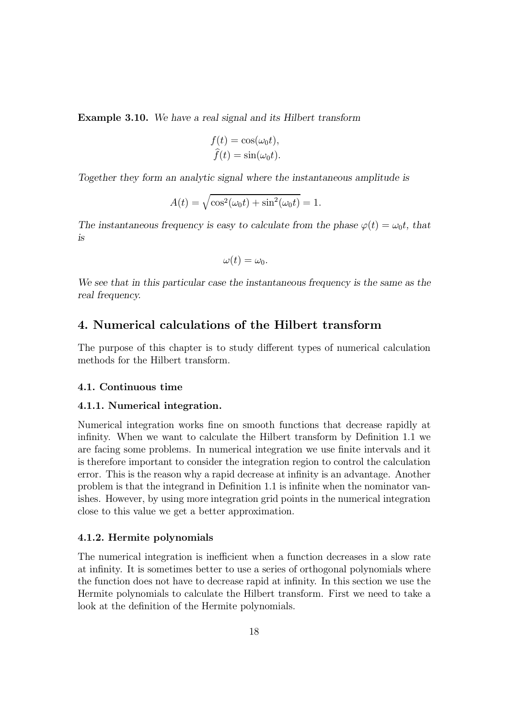Example 3.10. We have a real signal and its Hilbert transform

$$
f(t) = \cos(\omega_0 t),
$$
  

$$
\hat{f}(t) = \sin(\omega_0 t).
$$

Together they form an analytic signal where the instantaneous amplitude is

$$
A(t) = \sqrt{\cos^2(\omega_0 t) + \sin^2(\omega_0 t)} = 1.
$$

The instantaneous frequency is easy to calculate from the phase  $\varphi(t) = \omega_0 t$ , that is

$$
\omega(t)=\omega_0.
$$

We see that in this particular case the instantaneous frequency is the same as the real frequency.

## 4. Numerical calculations of the Hilbert transform

The purpose of this chapter is to study different types of numerical calculation methods for the Hilbert transform.

#### 4.1. Continuous time

#### 4.1.1. Numerical integration.

Numerical integration works fine on smooth functions that decrease rapidly at infinity. When we want to calculate the Hilbert transform by Definition  $1.1$  we are facing some problems. In numerical integration we use finite intervals and it is therefore important to consider the integration region to control the calculation error. This is the reason why a rapid decrease at infinity is an advantage. Another problem is that the integrand in Definition 1.1 is infinite when the nominator vanishes. However, by using more integration grid points in the numerical integration close to this value we get a better approximation.

#### 4.1.2. Hermite polynomials

The numerical integration is inefficient when a function decreases in a slow rate at infinity. It is sometimes better to use a series of orthogonal polynomials where the function does not have to decrease rapid at infinity. In this section we use the Hermite polynomials to calculate the Hilbert transform. First we need to take a look at the definition of the Hermite polynomials.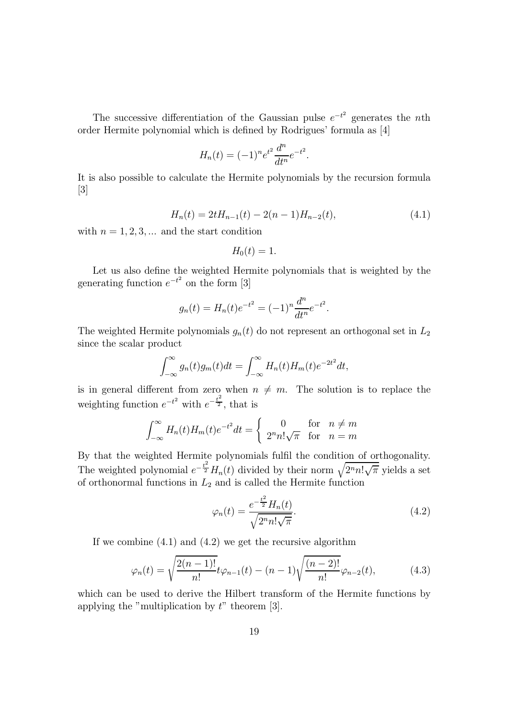The successive differentiation of the Gaussian pulse  $e^{-t^2}$  generates the *n*th order Hermite polynomial which is defined by Rodrigues' formula as [4]

$$
H_n(t) = (-1)^n e^{t^2} \frac{d^n}{dt^n} e^{-t^2}.
$$

It is also possible to calculate the Hermite polynomials by the recursion formula  $|3|$ 

$$
H_n(t) = 2tH_{n-1}(t) - 2(n-1)H_{n-2}(t),
$$
\n(4.1)

with  $n = 1, 2, 3, \dots$  and the start condition

$$
H_0(t)=1.
$$

Let us also define the weighted Hermite polynomials that is weighted by the generating function  $e^{-t^2}$  on the form [3]

$$
g_n(t) = H_n(t)e^{-t^2} = (-1)^n \frac{d^n}{dt^n} e^{-t^2}.
$$

The weighted Hermite polynomials  $g_n(t)$  do not represent an orthogonal set in  $L_2$ since the scalar product

$$
\int_{-\infty}^{\infty} g_n(t)g_m(t)dt = \int_{-\infty}^{\infty} H_n(t)H_m(t)e^{-2t^2}dt,
$$

is in general different from zero when  $n \neq m$ . The solution is to replace the weighting function  $e^{-t^2}$  with  $e^{-\frac{t^2}{2}}$ , that is

$$
\int_{-\infty}^{\infty} H_n(t) H_m(t) e^{-t^2} dt = \begin{cases} 0 & \text{for } n \neq m \\ 2^n n! \sqrt{\pi} & \text{for } n = m \end{cases}
$$

By that the weighted Hermite polynomials fulfil the condition of orthogonality. The weighted polynomial  $e^{-\frac{t^2}{2}}H_n(t)$  divided by their norm  $\sqrt{2^n n! \sqrt{\pi}}$  yields a set of orthonormal functions in  $L_2$  and is called the Hermite function

$$
\varphi_n(t) = \frac{e^{-\frac{t^2}{2}}H_n(t)}{\sqrt{2^n n! \sqrt{\pi}}}.
$$
\n(4.2)

If we combine  $(4.1)$  and  $(4.2)$  we get the recursive algorithm

$$
\varphi_n(t) = \sqrt{\frac{2(n-1)!}{n!}} t \varphi_{n-1}(t) - (n-1) \sqrt{\frac{(n-2)!}{n!}} \varphi_{n-2}(t), \tag{4.3}
$$

which can be used to derive the Hilbert transform of the Hermite functions by applying the "multiplication by  $t$ " theorem [3].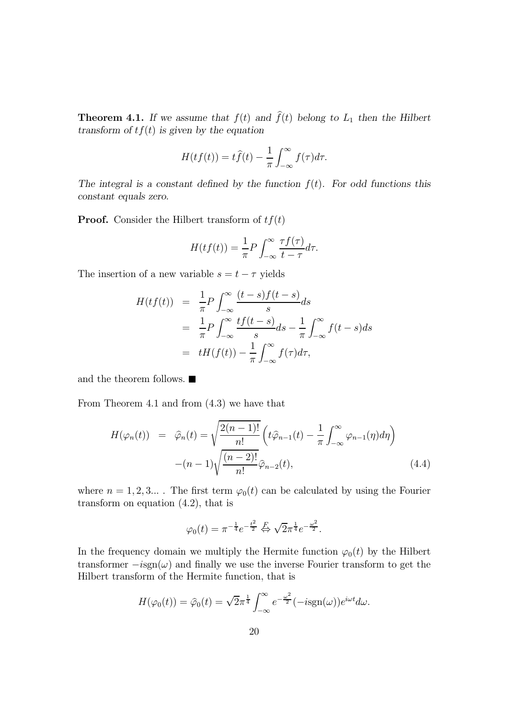**Theorem 4.1.** If we assume that  $f(t)$  and  $f(t)$  belong to  $L_1$  then the Hilbert transform of  $tf(t)$  is given by the equation

$$
H(t f(t)) = t \hat{f}(t) - \frac{1}{\pi} \int_{-\infty}^{\infty} f(\tau) d\tau.
$$

The integral is a constant defined by the function  $f(t)$ . For odd functions this constant equals zero.

**Proof.** Consider the Hilbert transform of  $tf(t)$ 

$$
H(t f(t)) = \frac{1}{\pi} P \int_{-\infty}^{\infty} \frac{\tau f(\tau)}{t - \tau} d\tau.
$$

The insertion of a new variable  $s = t - \tau$  yields

$$
H(t f(t)) = \frac{1}{\pi} P \int_{-\infty}^{\infty} \frac{(t - s) f(t - s)}{s} ds
$$
  
= 
$$
\frac{1}{\pi} P \int_{-\infty}^{\infty} \frac{t f(t - s)}{s} ds - \frac{1}{\pi} \int_{-\infty}^{\infty} f(t - s) ds
$$
  
= 
$$
t H(f(t)) - \frac{1}{\pi} \int_{-\infty}^{\infty} f(\tau) d\tau,
$$

and the theorem follows.  $\blacksquare$ 

From Theorem 4.1 and from (4.3) we have that

$$
H(\varphi_n(t)) = \widehat{\varphi}_n(t) = \sqrt{\frac{2(n-1)!}{n!}} \left( t \widehat{\varphi}_{n-1}(t) - \frac{1}{\pi} \int_{-\infty}^{\infty} \varphi_{n-1}(\eta) d\eta \right)
$$

$$
-(n-1)\sqrt{\frac{(n-2)!}{n!}} \widehat{\varphi}_{n-2}(t), \qquad (4.4)
$$

where  $n = 1, 2, 3...$ . The first term  $\varphi_0(t)$  can be calculated by using the Fourier transform on equation (4.2), that is

$$
\varphi_0(t) = \pi^{-\frac{1}{4}} e^{-\frac{t^2}{2}} \overset{E}{\leftrightarrow} \sqrt{2} \pi^{\frac{1}{4}} e^{-\frac{\omega^2}{2}}.
$$

In the frequency domain we multiply the Hermite function  $\varphi_0(t)$  by the Hilbert transformer  $-isgn(\omega)$  and finally we use the inverse Fourier transform to get the Hilbert transform of the Hermite function, that is

$$
H(\varphi_0(t)) = \widehat{\varphi}_0(t) = \sqrt{2}\pi^{\frac{1}{4}} \int_{-\infty}^{\infty} e^{-\frac{\omega^2}{2}} (-i\text{sgn}(\omega)) e^{i\omega t} d\omega.
$$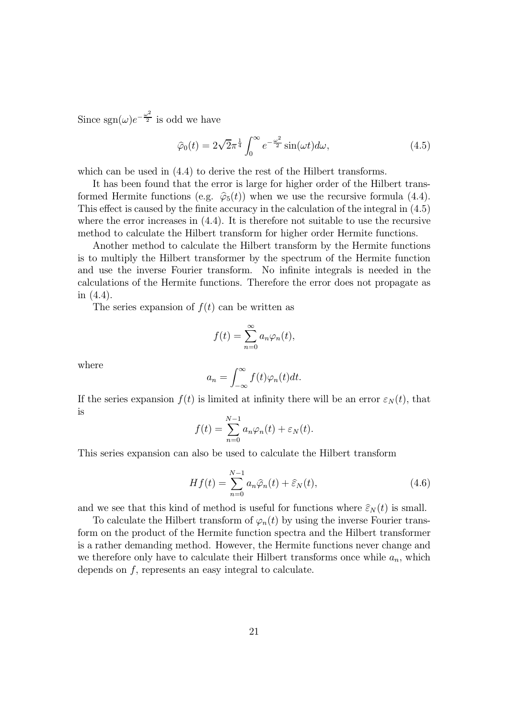Since  $sgn(\omega)e^{-\frac{\omega^2}{2}}$  is odd we have

$$
\widehat{\varphi}_0(t) = 2\sqrt{2}\pi^{\frac{1}{4}} \int_0^\infty e^{-\frac{\omega^2}{2}} \sin(\omega t) d\omega, \qquad (4.5)
$$

which can be used in (4.4) to derive the rest of the Hilbert transforms.

It has been found that the error is large for higher order of the Hilbert transformed Hermite functions (e.g.  $\hat{\varphi}_5(t)$ ) when we use the recursive formula (4.4). This effect is caused by the finite accuracy in the calculation of the integral in  $(4.5)$ where the error increases in (4.4). It is therefore not suitable to use the recursive method to calculate the Hilbert transform for higher order Hermite functions.

Another method to calculate the Hilbert transform by the Hermite functions is to multiply the Hilbert transformer by the spectrum of the Hermite function and use the inverse Fourier transform. No infinite integrals is needed in the calculations of the Hermite functions. Therefore the error does not propagate as in (4.4).

The series expansion of  $f(t)$  can be written as

$$
f(t) = \sum_{n=0}^{\infty} a_n \varphi_n(t),
$$

where

$$
a_n = \int_{-\infty}^{\infty} f(t)\varphi_n(t)dt.
$$

If the series expansion  $f(t)$  is limited at infinity there will be an error  $\varepsilon_N(t)$ , that is

$$
f(t) = \sum_{n=0}^{N-1} a_n \varphi_n(t) + \varepsilon_N(t).
$$

This series expansion can also be used to calculate the Hilbert transform

$$
Hf(t) = \sum_{n=0}^{N-1} a_n \hat{\varphi}_n(t) + \hat{\varepsilon}_N(t), \qquad (4.6)
$$

and we see that this kind of method is useful for functions where  $\hat{\varepsilon}_N (t)$  is small.

To calculate the Hilbert transform of  $\varphi_n(t)$  by using the inverse Fourier transform on the product of the Hermite function spectra and the Hilbert transformer is a rather demanding method. However, the Hermite functions never change and we therefore only have to calculate their Hilbert transforms once while  $a_n$ , which depends on  $f$ , represents an easy integral to calculate.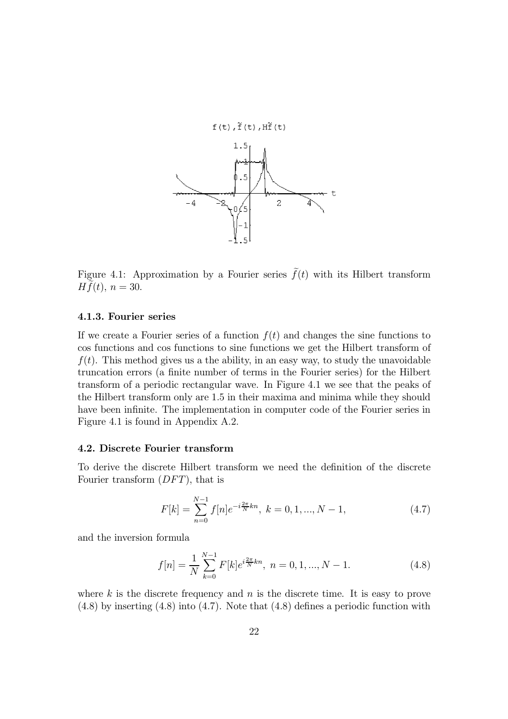

Figure 4.1: Approximation by a Fourier series  $f(t)$  with its Hilbert transform  $H f(t)$ ,  $n = 30$ .

#### 4.1.3. Fourier series

If we create a Fourier series of a function  $f(t)$  and changes the sine functions to cos functions and cos functions to sine functions we get the Hilbert transform of  $f(t)$ . This method gives us a the ability, in an easy way, to study the unavoidable truncation errors (a finite number of terms in the Fourier series) for the Hilbert transform of a periodic rectangular wave. In Figure 4.1 we see that the peaks of the Hilbert transform only are 1.5 in their maxima and minima while they should have been infinite. The implementation in computer code of the Fourier series in Figure 4.1 is found in Appendix A.2.

#### 4.2. Discrete Fourier transform

To derive the discrete Hilbert transform we need the definition of the discrete Fourier transform (DFT), that is

$$
F[k] = \sum_{n=0}^{N-1} f[n]e^{-i\frac{2\pi}{N}kn}, \ k = 0, 1, ..., N-1,
$$
 (4.7)

and the inversion formula

$$
f[n] = \frac{1}{N} \sum_{k=0}^{N-1} F[k] e^{i\frac{2\pi}{N}kn}, \ n = 0, 1, ..., N-1.
$$
 (4.8)

where  $k$  is the discrete frequency and  $n$  is the discrete time. It is easy to prove  $(4.8)$  by inserting  $(4.8)$  into  $(4.7)$ . Note that  $(4.8)$  defines a periodic function with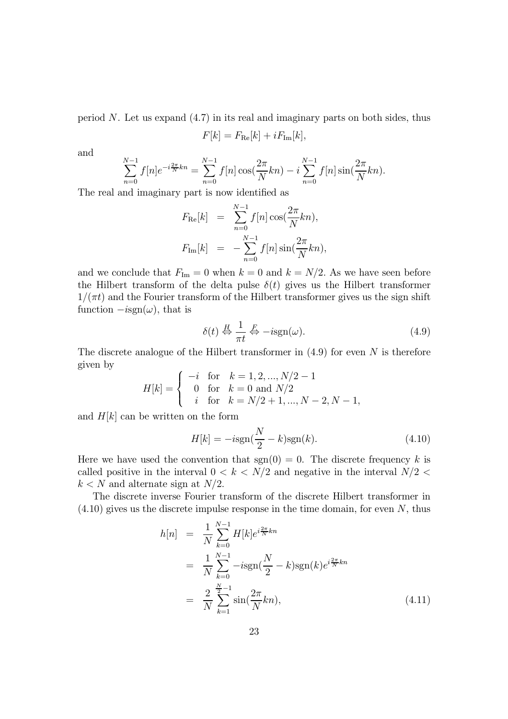period N. Let us expand  $(4.7)$  in its real and imaginary parts on both sides, thus

$$
F[k] = F_{\text{Re}}[k] + iF_{\text{Im}}[k],
$$

and

$$
\sum_{n=0}^{N-1} f[n] e^{-i\frac{2\pi}{N}kn} = \sum_{n=0}^{N-1} f[n] \cos(\frac{2\pi}{N}kn) - i \sum_{n=0}^{N-1} f[n] \sin(\frac{2\pi}{N}kn).
$$

The real and imaginary part is now identified as

$$
F_{\text{Re}}[k] = \sum_{n=0}^{N-1} f[n] \cos(\frac{2\pi}{N}kn),
$$
  

$$
F_{\text{Im}}[k] = -\sum_{n=0}^{N-1} f[n] \sin(\frac{2\pi}{N}kn),
$$

and we conclude that  $F_{\text{Im}} = 0$  when  $k = 0$  and  $k = N/2$ . As we have seen before the Hilbert transform of the delta pulse  $\delta(t)$  gives us the Hilbert transformer  $1/(\pi t)$  and the Fourier transform of the Hilbert transformer gives us the sign shift function  $-isgn(\omega)$ , that is

$$
\delta(t) \stackrel{H}{\Leftrightarrow} \frac{1}{\pi t} \stackrel{F}{\Leftrightarrow} -i \text{sgn}(\omega). \tag{4.9}
$$

The discrete analogue of the Hilbert transformer in  $(4.9)$  for even N is therefore given by

$$
H[k] = \begin{cases} -i & \text{for} \quad k = 1, 2, ..., N/2 - 1 \\ 0 & \text{for} \quad k = 0 \text{ and } N/2 \\ i & \text{for} \quad k = N/2 + 1, ..., N - 2, N - 1, \end{cases}
$$

and  $H[k]$  can be written on the form

$$
H[k] = -i\text{sgn}(\frac{N}{2} - k)\text{sgn}(k). \tag{4.10}
$$

Here we have used the convention that  $sgn(0) = 0$ . The discrete frequency k is called positive in the interval  $0 < k < N/2$  and negative in the interval  $N/2 <$  $k < N$  and alternate sign at  $N/2$ .

The discrete inverse Fourier transform of the discrete Hilbert transformer in  $(4.10)$  gives us the discrete impulse response in the time domain, for even N, thus

$$
h[n] = \frac{1}{N} \sum_{k=0}^{N-1} H[k] e^{i\frac{2\pi}{N}kn}
$$
  
= 
$$
\frac{1}{N} \sum_{k=0}^{N-1} -i \text{sgn}(\frac{N}{2} - k) \text{sgn}(k) e^{i\frac{2\pi}{N}kn}
$$
  
= 
$$
\frac{2}{N} \sum_{k=1}^{N-1} \sin(\frac{2\pi}{N}kn),
$$
 (4.11)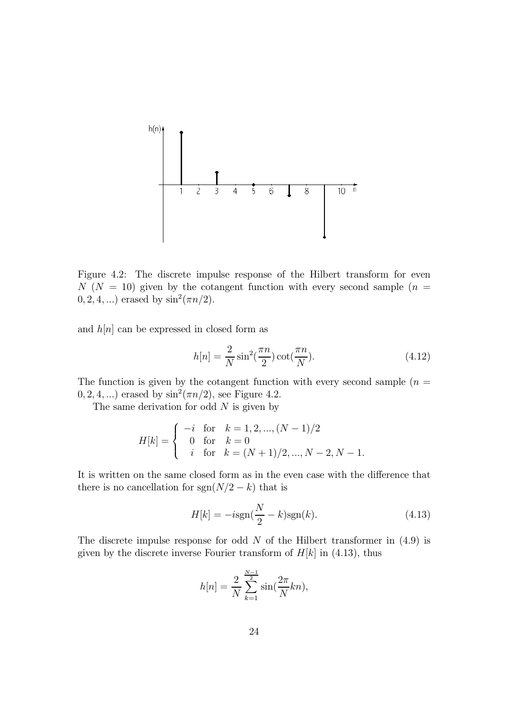

Figure 4.2: The discrete impulse response of the Hilbert transform for even  $N(N = 10)$  given by the cotangent function with every second sample  $(n = 10)$  $(0, 2, 4, ...)$  erased by  $\sin^2(\pi n/2)$ .

and  $h[n]$  can be expressed in closed form as

$$
h[n] = \frac{2}{N} \sin^2(\frac{\pi n}{2}) \cot(\frac{\pi n}{N}).
$$
\n(4.12)

The function is given by the cotangent function with every second sample  $(n =$  $(0, 2, 4, ...)$  erased by  $\sin^2(\pi n/2)$ , see Figure 4.2.

The same derivation for odd  $N$  is given by

$$
H[k] = \begin{cases} -i & \text{for} \quad k = 1, 2, ..., (N - 1)/2 \\ 0 & \text{for} \quad k = 0 \\ i & \text{for} \quad k = (N + 1)/2, ..., N - 2, N - 1. \end{cases}
$$

It is written on the same closed form as in the even case with the difference that there is no cancellation for  $sgn(N/2 - k)$  that is

$$
H[k] = -i\text{sgn}(\frac{N}{2} - k)\text{sgn}(k). \tag{4.13}
$$

The discrete impulse response for odd  $N$  of the Hilbert transformer in  $(4.9)$  is given by the discrete inverse Fourier transform of  $H[k]$  in (4.13), thus

$$
h[n] = \frac{2}{N} \sum_{k=1}^{\frac{N-1}{2}} \sin(\frac{2\pi}{N}kn),
$$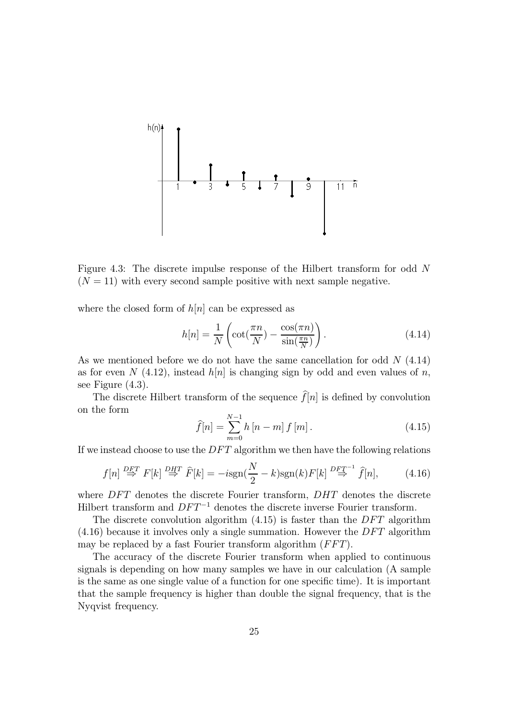

Figure 4.3: The discrete impulse response of the Hilbert transform for odd N  $(N = 11)$  with every second sample positive with next sample negative.

where the closed form of  $h[n]$  can be expressed as

$$
h[n] = \frac{1}{N} \left( \cot(\frac{\pi n}{N}) - \frac{\cos(\pi n)}{\sin(\frac{\pi n}{N})} \right).
$$
 (4.14)

As we mentioned before we do not have the same cancellation for odd  $N$  (4.14) as for even N (4.12), instead  $h[n]$  is changing sign by odd and even values of n, see Figure (4.3).

The discrete Hilbert transform of the sequence  $f[n]$  is defined by convolution on the form

$$
\widehat{f}[n] = \sum_{m=0}^{N-1} h[n-m] f[m]. \qquad (4.15)
$$

If we instead choose to use the  $DFT$  algorithm we then have the following relations

$$
f[n] \stackrel{DFT}{\Rightarrow} F[k] \stackrel{DHT}{\Rightarrow} \widehat{F}[k] = -i \text{sgn}(\frac{N}{2} - k) \text{sgn}(k) F[k] \stackrel{DFT^{-1}}{\Rightarrow} \widehat{f}[n], \tag{4.16}
$$

where DFT denotes the discrete Fourier transform, DHT denotes the discrete Hilbert transform and  $DFT^{-1}$  denotes the discrete inverse Fourier transform.

The discrete convolution algorithm  $(4.15)$  is faster than the DFT algorithm  $(4.16)$  because it involves only a single summation. However the DFT algorithm may be replaced by a fast Fourier transform algorithm (FFT).

The accuracy of the discrete Fourier transform when applied to continuous signals is depending on how many samples we have in our calculation (A sample is the same as one single value of a function for one specific time). It is important that the sample frequency is higher than double the signal frequency, that is the Nyqvist frequency.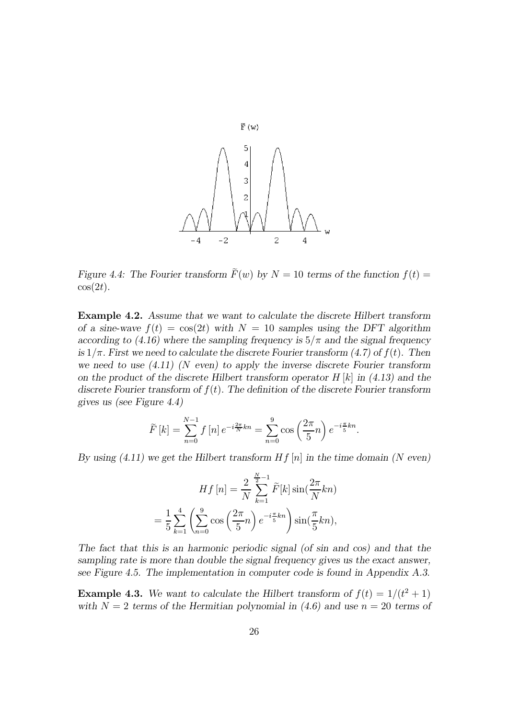

Figure 4.4: The Fourier transform  $\tilde{F}(w)$  by  $N = 10$  terms of the function  $f(t) =$  $\cos(2t)$ .

Example 4.2. Assume that we want to calculate the discrete Hilbert transform of a sine-wave  $f(t) = cos(2t)$  with  $N = 10$  samples using the DFT algorithm according to (4.16) where the sampling frequency is  $5/\pi$  and the signal frequency is  $1/\pi$ . First we need to calculate the discrete Fourier transform (4.7) of  $f(t)$ . Then we need to use  $(4.11)$  (N even) to apply the inverse discrete Fourier transform on the product of the discrete Hilbert transform operator  $H[k]$  in (4.13) and the discrete Fourier transform of  $f(t)$ . The definition of the discrete Fourier transform gives us (see Figure 4.4)

$$
\widetilde{F}[k] = \sum_{n=0}^{N-1} f[n] e^{-i\frac{2\pi}{N}kn} = \sum_{n=0}^{9} \cos\left(\frac{2\pi}{5}n\right) e^{-i\frac{\pi}{5}kn}.
$$

By using  $(4.11)$  we get the Hilbert transform H f |n| in the time domain (N even)

$$
Hf[n] = \frac{2}{N} \sum_{k=1}^{\frac{N}{2}-1} \tilde{F}[k] \sin(\frac{2\pi}{N}kn)
$$

$$
= \frac{1}{5} \sum_{k=1}^{4} \left(\sum_{n=0}^{9} \cos\left(\frac{2\pi}{5}n\right) e^{-i\frac{\pi}{5}kn}\right) \sin(\frac{\pi}{5}kn),
$$

The fact that this is an harmonic periodic signal (of sin and cos) and that the sampling rate is more than double the signal frequency gives us the exact answer, see Figure 4.5. The implementation in computer code is found in Appendix A.3.

**Example 4.3.** We want to calculate the Hilbert transform of  $f(t) = 1/(t^2 + 1)$ with  $N = 2$  terms of the Hermitian polynomial in (4.6) and use  $n = 20$  terms of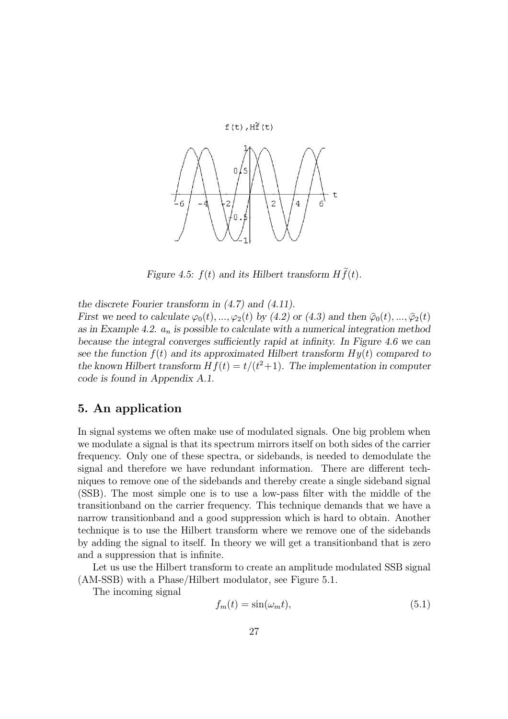$f(t)$ ,  $H\tilde{f}(t)$ 



Figure 4.5:  $f(t)$  and its Hilbert transform  $H \tilde{f}(t)$ .

the discrete Fourier transform in (4.7) and (4.11).

First we need to calculate  $\varphi_0(t), ..., \varphi_2(t)$  by (4.2) or (4.3) and then  $\hat{\varphi}_0(t), ..., \hat{\varphi}_2(t)$ as in Example 4.2.  $a_n$  is possible to calculate with a numerical integration method because the integral converges sufficiently rapid at infinity. In Figure 4.6 we can see the function  $f(t)$  and its approximated Hilbert transform  $Hy(t)$  compared to the known Hilbert transform  $Hf(t) = t/(t^2+1)$ . The implementation in computer code is found in Appendix A.1.

## 5. An application

In signal systems we often make use of modulated signals. One big problem when we modulate a signal is that its spectrum mirrors itself on both sides of the carrier frequency. Only one of these spectra, or sidebands, is needed to demodulate the signal and therefore we have redundant information. There are different techniques to remove one of the sidebands and thereby create a single sideband signal (SSB). The most simple one is to use a low-pass filter with the middle of the transitionband on the carrier frequency. This technique demands that we have a narrow transitionband and a good suppression which is hard to obtain. Another technique is to use the Hilbert transform where we remove one of the sidebands by adding the signal to itself. In theory we will get a transitionband that is zero and a suppression that is infinite.

Let us use the Hilbert transform to create an amplitude modulated SSB signal (AM-SSB) with a Phase/Hilbert modulator, see Figure 5.1.

The incoming signal

$$
f_m(t) = \sin(\omega_m t),\tag{5.1}
$$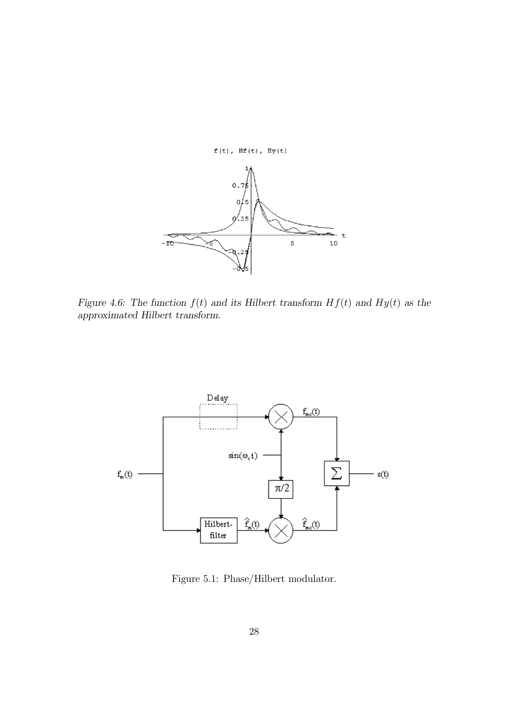

Figure 4.6: The function  $f(t)$  and its Hilbert transform  $Hf(t)$  and  $Hy(t)$  as the approximated Hilbert transform.



Figure 5.1: Phase/Hilbert modulator.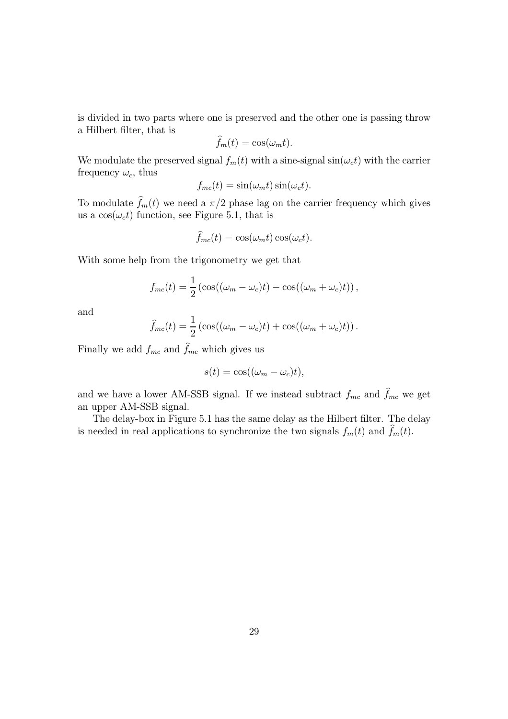is divided in two parts where one is preserved and the other one is passing throw a Hilbert filter, that is

$$
\widehat{f}_m(t) = \cos(\omega_m t).
$$

We modulate the preserved signal  $f_m(t)$  with a sine-signal  $\sin(\omega_c t)$  with the carrier frequency  $\omega_c$ , thus

$$
f_{mc}(t) = \sin(\omega_m t) \sin(\omega_c t).
$$

To modulate  $f_m(t)$  we need a  $\pi/2$  phase lag on the carrier frequency which gives us a  $cos(\omega_c t)$  function, see Figure 5.1, that is

$$
\widehat{f}_{mc}(t) = \cos(\omega_m t) \cos(\omega_c t).
$$

With some help from the trigonometry we get that

$$
f_{mc}(t) = \frac{1}{2} \left( \cos((\omega_m - \omega_c)t) - \cos((\omega_m + \omega_c)t) \right),
$$

and

$$
\widehat{f}_{mc}(t) = \frac{1}{2} \left( \cos((\omega_m - \omega_c)t) + \cos((\omega_m + \omega_c)t) \right).
$$

Finally we add  $f_{mc}$  and  $f_{mc}$  which gives us

$$
s(t) = \cos((\omega_m - \omega_c)t),
$$

and we have a lower AM-SSB signal. If we instead subtract  $f_{mc}$  and  $f_{mc}$  we get an upper AM-SSB signal.

The delay-box in Figure 5.1 has the same delay as the Hilbert filter. The delay is needed in real applications to synchronize the two signals  $f_m(t)$  and  $f_m(t)$ .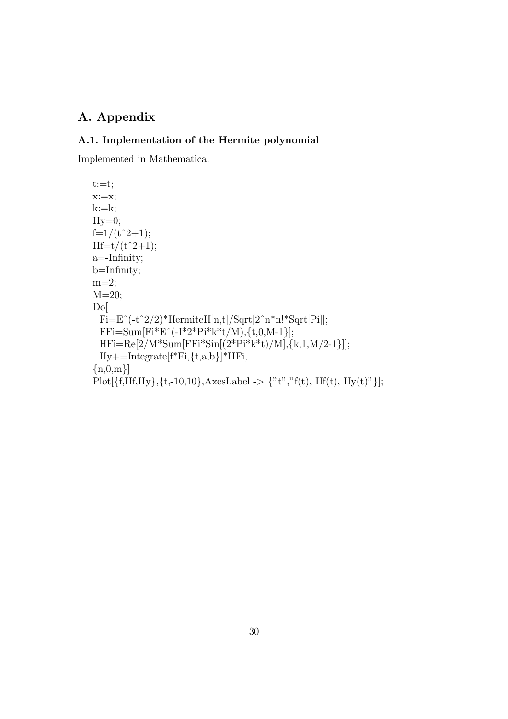## A. Appendix

## A.1. Implementation of the Hermite polynomial

Implemented in Mathematica.

```
t:=t;
x:=x;
k:=k;Hy=0;
f=1/(t^2+1);Hf=t/(t^2+1);a=-Infinity;
b=Infinity;
m=2;
M = 20;
Do[
 Fi=E^(-t^2/2)*HermiteH[n,t]/Sqrt[2^n*n!*Sqrt[Pi]];FFi=Sum[Fi*E^{(-1*2*Pi*kt/M)},\{t,0,M-1\}];HFi=Re[2/M*Sum[FFi*Sin[(2*Pi*kt)/M],[k,1,M/2-1]]];Hy+-Integrate[f*Fi,\{t,a,b\}]^{*}HFi,\{n,0,m\}\\label{eq:multiv} \text{Plot}[\{\text{f},\text{Hf},\text{Hy}\},\{\text{t},\text{-10},\text{10}\},\text{AxesLabel} \text{ -> } \{\text{" t",\text{" f(t)},\text{ Hf(t)},\text{ Hy(t)}\text{" }\}];
```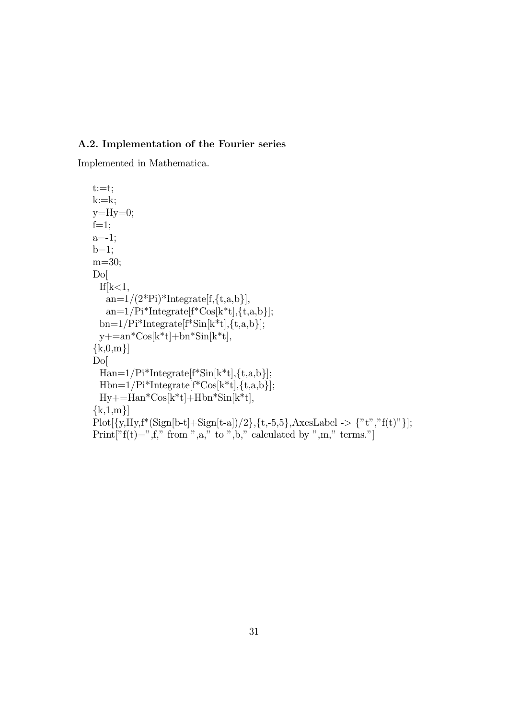## A.2. Implementation of the Fourier series

Implemented in Mathematica.

```
t:=t;
k:=k;y=Hy=0;
f=1;
a=-1;
b=1;
m=30;
Do[
 If k<1,
   an=1/(2^*P_i)^*Integrate[f, \{t, a, b\}],an=1/Pi*Integrate[f*Cos[k*t],\{t,a,b\}];bn=1/Pi*Integrate[f^*\text{Sin}[k^*t],\{t,a,b\}];y+=an^*Cos[k^*t]+bn^*Sin[k^*t],\{k,0,m\}Do[
 \text{Han}=1/Pi*Integrate[f*Sin[k*t],\{t,a,b\}];Hbn=1/Pi*Integrate[f*Cos[k*t],\{t,a,b\}];Hy+=\text{Han*} \text{Cos}[k*t]+\text{Hbn*}\text{Sin}[k*t],{k,1,m}Plot[\{y,Hy,f*(Sign[b-t]+Sign[t-a])/2\},\{t,-5,5\},AxesLabel \rightarrow \{'`t", "f(t)"\}];Print['f(t)='', f,'' from ",a," to ",b," calculated by ",m," terms."]
```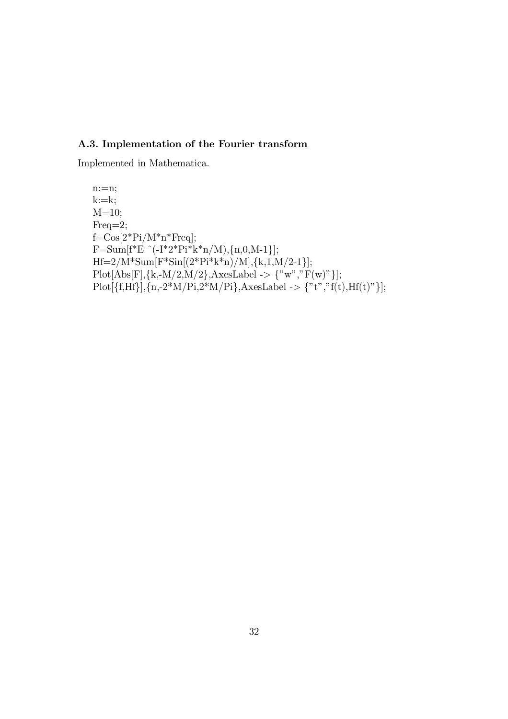## A.3. Implementation of the Fourier transform

Implemented in Mathematica.

n:=n;  $k:=k;$  $M=10;$  $Freq=2;$  $f=Cos[2*Pi/M*n*Freq];$  $F=\text{Sum}[f^*E ^(-I^*2^*Pi^*k^*n/M),\{n,0,M-1\}];$  $Hf=2/M*Sum[F*Sin[(2*Pi*kr*)/M],\{k,1,M/2-1\}];$  $Plot[Abs[F], \{k, -M/2, M/2\}, AxesLabel \rightarrow \{''w'', 'F(w)''\}];$  $Plot[\{f,Hf\}],\{n,-2^*M/Pi,2^*M/Pi\},AxesLabel \rightarrow \{``t'',``f(t),Hf(t)''\}];$